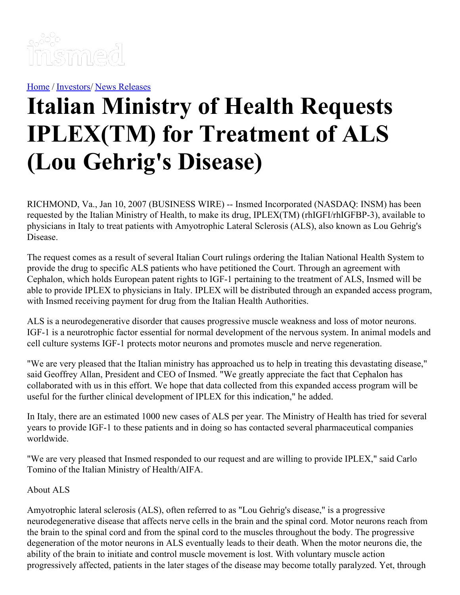

[Home](https://insmed.com/) / [Investors](https://investor.insmed.com/index)/ News [Releases](https://investor.insmed.com/releases)

# **Italian Ministry of Health Requests IPLEX(TM) for Treatment of ALS (Lou Gehrig's Disease)**

RICHMOND, Va., Jan 10, 2007 (BUSINESS WIRE) -- Insmed Incorporated (NASDAQ: INSM) has been requested by the Italian Ministry of Health, to make its drug, IPLEX(TM) (rhIGFI/rhIGFBP-3), available to physicians in Italy to treat patients with Amyotrophic Lateral Sclerosis (ALS), also known as Lou Gehrig's Disease.

The request comes as a result of several Italian Court rulings ordering the Italian National Health System to provide the drug to specific ALS patients who have petitioned the Court. Through an agreement with Cephalon, which holds European patent rights to IGF-1 pertaining to the treatment of ALS, Insmed will be able to provide IPLEX to physicians in Italy. IPLEX will be distributed through an expanded access program, with Insmed receiving payment for drug from the Italian Health Authorities.

ALS is a neurodegenerative disorder that causes progressive muscle weakness and loss of motor neurons. IGF-1 is a neurotrophic factor essential for normal development of the nervous system. In animal models and cell culture systems IGF-1 protects motor neurons and promotes muscle and nerve regeneration.

"We are very pleased that the Italian ministry has approached us to help in treating this devastating disease," said Geoffrey Allan, President and CEO of Insmed. "We greatly appreciate the fact that Cephalon has collaborated with us in this effort. We hope that data collected from this expanded access program will be useful for the further clinical development of IPLEX for this indication," he added.

In Italy, there are an estimated 1000 new cases of ALS per year. The Ministry of Health has tried for several years to provide IGF-1 to these patients and in doing so has contacted several pharmaceutical companies worldwide.

"We are very pleased that Insmed responded to our request and are willing to provide IPLEX," said Carlo Tomino of the Italian Ministry of Health/AIFA.

#### About ALS

Amyotrophic lateral sclerosis (ALS), often referred to as "Lou Gehrig's disease," is a progressive neurodegenerative disease that affects nerve cells in the brain and the spinal cord. Motor neurons reach from the brain to the spinal cord and from the spinal cord to the muscles throughout the body. The progressive degeneration of the motor neurons in ALS eventually leads to their death. When the motor neurons die, the ability of the brain to initiate and control muscle movement is lost. With voluntary muscle action progressively affected, patients in the later stages of the disease may become totally paralyzed. Yet, through